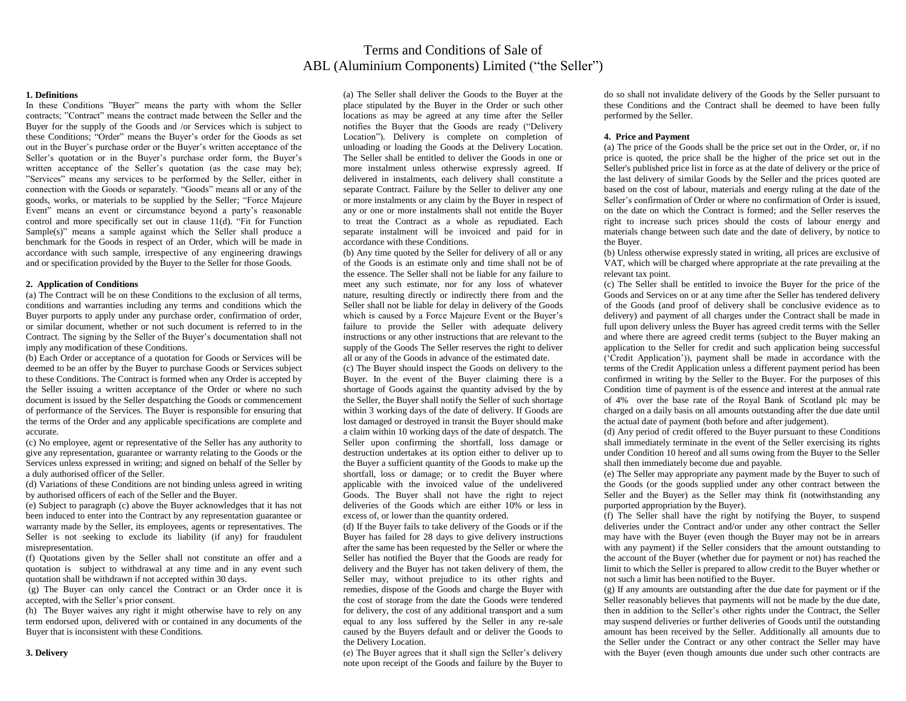# Terms and Conditions of Sale of ABL (Aluminium Components) Limited ("the Seller")

# **1. Definitions**

In these Conditions "Buyer" means the party with whom the Seller contracts; "Contract" means the contract made between the Seller and the Buyer for the supply of the Goods and /or Services which is subject to these Conditions; "Order" means the Buyer's order for the Goods as set out in the Buyer's purchase order or the Buyer's written acceptance of the Seller's quotation or in the Buyer's purchase order form, the Buyer's written acceptance of the Seller's quotation (as the case may be); "Services" means any services to be performed by the Seller, either in connection with the Goods or separately. "Goods" means all or any of the goods, works, or materials to be supplied by the Seller; "Force Majeure Event" means an event or circumstance beyond a party's reasonable control and more specifically set out in clause 11(d). "Fit for Function Sample(s)" means a sample against which the Seller shall produce a benchmark for the Goods in respect of an Order, which will be made in accordance with such sample, irrespective of any engineering drawings and or specification provided by the Buyer to the Seller for those Goods.

#### **2. Application of Conditions**

(a) The Contract will be on these Conditions to the exclusion of all terms, conditions and warranties including any terms and conditions which the Buyer purports to apply under any purchase order, confirmation of order, or similar document, whether or not such document is referred to in the Contract. The signing by the Seller of the Buyer's documentation shall not imply any modification of these Conditions.

(b) Each Order or acceptance of a quotation for Goods or Services will be deemed to be an offer by the Buyer to purchase Goods or Services subject to these Conditions. The Contract is formed when any Order is accepted by the Seller issuing a written acceptance of the Order or where no such document is issued by the Seller despatching the Goods or commencement of performance of the Services. The Buyer is responsible for ensuring that the terms of the Order and any applicable specifications are complete and accurate.

(c) No employee, agent or representative of the Seller has any authority to give any representation, guarantee or warranty relating to the Goods or the Services unless expressed in writing; and signed on behalf of the Seller by a duly authorised officer of the Seller.

(d) Variations of these Conditions are not binding unless agreed in writing by authorised officers of each of the Seller and the Buyer.

(e) Subject to paragraph (c) above the Buyer acknowledges that it has not been induced to enter into the Contract by any representation guarantee or warranty made by the Seller, its employees, agents or representatives. The Seller is not seeking to exclude its liability (if any) for fraudulent misrepresentation.

(f) Quotations given by the Seller shall not constitute an offer and a quotation is subject to withdrawal at any time and in any event such quotation shall be withdrawn if not accepted within 30 days.

(g) The Buyer can only cancel the Contract or an Order once it is accepted, with the Seller's prior consent.

(h) The Buyer waives any right it might otherwise have to rely on any term endorsed upon, delivered with or contained in any documents of the Buyer that is inconsistent with these Conditions.

(a) The Seller shall deliver the Goods to the Buyer at the place stipulated by the Buyer in the Order or such other locations as may be agreed at any time after the Seller notifies the Buyer that the Goods are ready ("Delivery Location"). Delivery is complete on completion of unloading or loading the Goods at the Delivery Location. The Seller shall be entitled to deliver the Goods in one or more instalment unless otherwise expressly agreed. If delivered in instalments, each delivery shall constitute a separate Contract. Failure by the Seller to deliver any one or more instalments or any claim by the Buyer in respect of any or one or more instalments shall not entitle the Buyer to treat the Contract as a whole as repudiated. Each separate instalment will be invoiced and paid for in accordance with these Conditions.

(b) Any time quoted by the Seller for delivery of all or any of the Goods is an estimate only and time shall not be of the essence. The Seller shall not be liable for any failure to meet any such estimate, nor for any loss of whatever nature, resulting directly or indirectly there from and the Seller shall not be liable for delay in delivery of the Goods which is caused by a Force Majeure Event or the Buyer's failure to provide the Seller with adequate delivery instructions or any other instructions that are relevant to the supply of the Goods The Seller reserves the right to deliver all or any of the Goods in advance of the estimated date.

(c) The Buyer should inspect the Goods on delivery to the Buyer. In the event of the Buyer claiming there is a shortage of Goods against the quantity advised by the by the Seller, the Buyer shall notify the Seller of such shortage within 3 working days of the date of delivery. If Goods are lost damaged or destroyed in transit the Buyer should make a claim within 10 working days of the date of despatch. The Seller upon confirming the shortfall, loss damage or destruction undertakes at its option either to deliver up to the Buyer a sufficient quantity of the Goods to make up the shortfall, loss or damage; or to credit the Buyer where applicable with the invoiced value of the undelivered Goods. The Buyer shall not have the right to reject deliveries of the Goods which are either 10% or less in excess of, or lower than the quantity ordered.

(d) If the Buyer fails to take delivery of the Goods or if the Buyer has failed for 28 days to give delivery instructions after the same has been requested by the Seller or where the Seller has notified the Buyer that the Goods are ready for delivery and the Buyer has not taken delivery of them, the Seller may, without prejudice to its other rights and remedies, dispose of the Goods and charge the Buyer with the cost of storage from the date the Goods were tendered for delivery, the cost of any additional transport and a sum equal to any loss suffered by the Seller in any re-sale caused by the Buyers default and or deliver the Goods to the Delivery Location.

(e) The Buyer agrees that it shall sign the Seller's delivery note upon receipt of the Goods and failure by the Buyer to do so shall not invalidate delivery of the Goods by the Seller pursuant to these Conditions and the Contract shall be deemed to have been fully performed by the Seller.

#### **4. Price and Payment**

(a) The price of the Goods shall be the price set out in the Order, or, if no price is quoted, the price shall be the higher of the price set out in the Seller's published price list in force as at the date of delivery or the price of the last delivery of similar Goods by the Seller and the prices quoted are based on the cost of labour, materials and energy ruling at the date of the Seller's confirmation of Order or where no confirmation of Order is issued, on the date on which the Contract is formed; and the Seller reserves the right to increase such prices should the costs of labour energy and materials change between such date and the date of delivery, by notice to the Buyer.

(b) Unless otherwise expressly stated in writing, all prices are exclusive of VAT, which will be charged where appropriate at the rate prevailing at the relevant tax point.

(c) The Seller shall be entitled to invoice the Buyer for the price of the Goods and Services on or at any time after the Seller has tendered delivery of the Goods (and proof of delivery shall be conclusive evidence as to delivery) and payment of all charges under the Contract shall be made in full upon delivery unless the Buyer has agreed credit terms with the Seller and where there are agreed credit terms (subject to the Buyer making an application to the Seller for credit and such application being successful ('Credit Application')), payment shall be made in accordance with the terms of the Credit Application unless a different payment period has been confirmed in writing by the Seller to the Buyer. For the purposes of this Condition time of payment is of the essence and interest at the annual rate of 4% over the base rate of the Royal Bank of Scotland plc may be charged on a daily basis on all amounts outstanding after the due date until the actual date of payment (both before and after judgement).

(d) Any period of credit offered to the Buyer pursuant to these Conditions shall immediately terminate in the event of the Seller exercising its rights under Condition 10 hereof and all sums owing from the Buyer to the Seller shall then immediately become due and payable.

(e) The Seller may appropriate any payment made by the Buyer to such of the Goods (or the goods supplied under any other contract between the Seller and the Buyer) as the Seller may think fit (notwithstanding any purported appropriation by the Buyer).

(f) The Seller shall have the right by notifying the Buyer, to suspend deliveries under the Contract and/or under any other contract the Seller may have with the Buyer (even though the Buyer may not be in arrears with any payment) if the Seller considers that the amount outstanding to the account of the Buyer (whether due for payment or not) has reached the limit to which the Seller is prepared to allow credit to the Buyer whether or not such a limit has been notified to the Buyer.

(g) If any amounts are outstanding after the due date for payment or if the Seller reasonably believes that payments will not be made by the due date, then in addition to the Seller's other rights under the Contract, the Seller may suspend deliveries or further deliveries of Goods until the outstanding amount has been received by the Seller. Additionally all amounts due to the Seller under the Contract or any other contract the Seller may have with the Buyer (even though amounts due under such other contracts are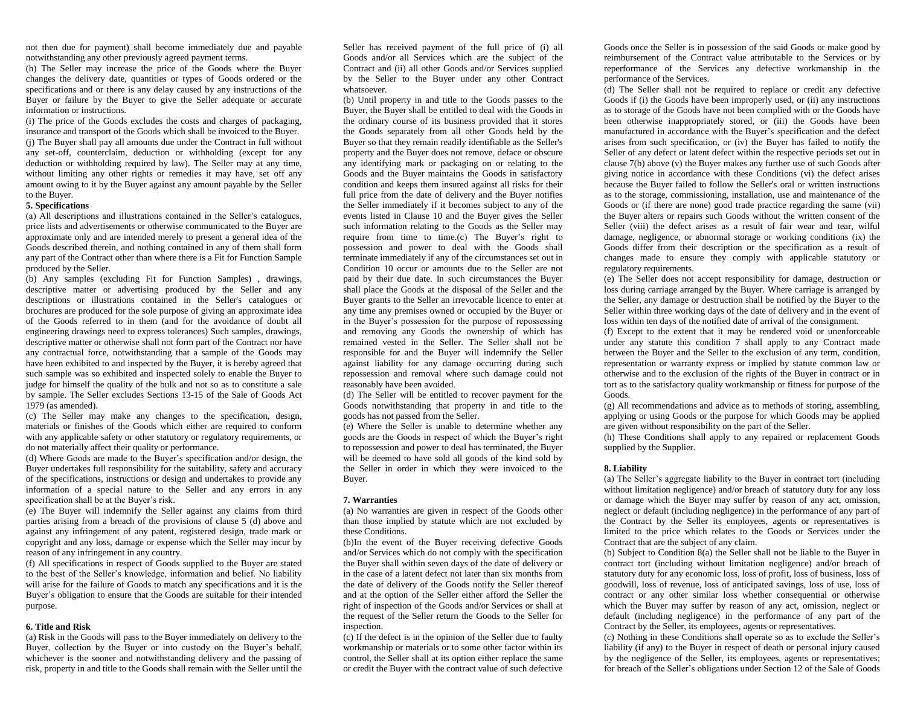not then due for payment) shall become immediately due and payable notwithstanding any other previously agreed payment terms.

(h) The Seller may increase the price of the Goods where the Buyer changes the delivery date, quantities or types of Goods ordered or the specifications and or there is any delay caused by any instructions of the Buyer or failure by the Buyer to give the Seller adequate or accurate information or instructions.

(i) The price of the Goods excludes the costs and charges of packaging, insurance and transport of the Goods which shall be invoiced to the Buyer. (j) The Buyer shall pay all amounts due under the Contract in full without any set-off, counterclaim, deduction or withholding (except for any deduction or withholding required by law). The Seller may at any time, without limiting any other rights or remedies it may have, set off any amount owing to it by the Buyer against any amount payable by the Seller to the Buyer.

# **5. Specifications**

(a) All descriptions and illustrations contained in the Seller's catalogues, price lists and advertisements or otherwise communicated to the Buyer are approximate only and are intended merely to present a general idea of the Goods described therein, and nothing contained in any of them shall form any part of the Contract other than where there is a Fit for Function Sample produced by the Seller.

(b) Any samples (excluding Fit for Function Samples) , drawings, descriptive matter or advertising produced by the Seller and any descriptions or illustrations contained in the Seller's catalogues or brochures are produced for the sole purpose of giving an approximate idea of the Goods referred to in them (and for the avoidance of doubt all engineering drawings need to express tolerances) Such samples, drawings, descriptive matter or otherwise shall not form part of the Contract nor have any contractual force, notwithstanding that a sample of the Goods may have been exhibited to and inspected by the Buyer, it is hereby agreed that such sample was so exhibited and inspected solely to enable the Buyer to judge for himself the quality of the bulk and not so as to constitute a sale by sample. The Seller excludes Sections 13-15 of the Sale of Goods Act 1979 (as amended).

(c) The Seller may make any changes to the specification, design, materials or finishes of the Goods which either are required to conform with any applicable safety or other statutory or regulatory requirements, or do not materially affect their quality or performance.

(d) Where Goods are made to the Buyer's specification and/or design, the Buyer undertakes full responsibility for the suitability, safety and accuracy of the specifications, instructions or design and undertakes to provide any information of a special nature to the Seller and any errors in any specification shall be at the Buyer's risk.

(e) The Buyer will indemnify the Seller against any claims from third parties arising from a breach of the provisions of clause 5 (d) above and against any infringement of any patent, registered design, trade mark or copyright and any loss, damage or expense which the Seller may incur by reason of any infringement in any country.

(f) All specifications in respect of Goods supplied to the Buyer are stated to the best of the Seller's knowledge, information and belief. No liability will arise for the failure of Goods to match any specifications and it is the Buyer's obligation to ensure that the Goods are suitable for their intended purpose.

## **6. Title and Risk**

(a) Risk in the Goods will pass to the Buyer immediately on delivery to the Buyer, collection by the Buyer or into custody on the Buyer's behalf, whichever is the sooner and notwithstanding delivery and the passing of risk, property in and title to the Goods shall remain with the Seller until the

Seller has received payment of the full price of (i) all Goods and/or all Services which are the subject of the Contract and (ii) all other Goods and/or Services supplied by the Seller to the Buyer under any other Contract whatsoever.

(b) Until property in and title to the Goods passes to the Buyer, the Buyer shall be entitled to deal with the Goods in the ordinary course of its business provided that it stores the Goods separately from all other Goods held by the Buyer so that they remain readily identifiable as the Seller's property and the Buyer does not remove, deface or obscure any identifying mark or packaging on or relating to the Goods and the Buyer maintains the Goods in satisfactory condition and keeps them insured against all risks for their full price from the date of delivery and the Buyer notifies the Seller immediately if it becomes subject to any of the events listed in Clause 10 and the Buyer gives the Seller such information relating to the Goods as the Seller may require from time to time.(c) The Buyer's right to possession and power to deal with the Goods shall terminate immediately if any of the circumstances set out in Condition 10 occur or amounts due to the Seller are not paid by their due date. In such circumstances the Buyer shall place the Goods at the disposal of the Seller and the Buyer grants to the Seller an irrevocable licence to enter at any time any premises owned or occupied by the Buyer or in the Buyer's possession for the purpose of repossessing and removing any Goods the ownership of which has remained vested in the Seller. The Seller shall not be responsible for and the Buyer will indemnify the Seller against liability for any damage occurring during such repossession and removal where such damage could not reasonably have been avoided.

(d) The Seller will be entitled to recover payment for the Goods notwithstanding that property in and title to the goods has not passed from the Seller.

(e) Where the Seller is unable to determine whether any goods are the Goods in respect of which the Buyer's right to repossession and power to deal has terminated, the Buyer will be deemed to have sold all goods of the kind sold by the Seller in order in which they were invoiced to the Buyer.

## **7. Warranties**

(a) No warranties are given in respect of the Goods other than those implied by statute which are not excluded by these Conditions.

(b)In the event of the Buyer receiving defective Goods and/or Services which do not comply with the specification the Buyer shall within seven days of the date of delivery or in the case of a latent defect not later than six months from the date of delivery of the Goods notify the Seller thereof and at the option of the Seller either afford the Seller the right of inspection of the Goods and/or Services or shall at the request of the Seller return the Goods to the Seller for inspection.

(c) If the defect is in the opinion of the Seller due to faulty workmanship or materials or to some other factor within its control, the Seller shall at its option either replace the same or credit the Buyer with the contract value of such defective Goods once the Seller is in possession of the said Goods or make good by reimbursement of the Contract value attributable to the Services or by reperformance of the Services any defective workmanship in the performance of the Services.

(d) The Seller shall not be required to replace or credit any defective Goods if (i) the Goods have been improperly used, or (ii) any instructions as to storage of the Goods have not been complied with or the Goods have been otherwise inappropriately stored, or (iii) the Goods have been manufactured in accordance with the Buyer's specification and the defect arises from such specification, or (iv) the Buyer has failed to notify the Seller of any defect or latent defect within the respective periods set out in clause 7(b) above (v) the Buyer makes any further use of such Goods after giving notice in accordance with these Conditions (vi) the defect arises because the Buyer failed to follow the Seller's oral or written instructions as to the storage, commissioning, installation, use and maintenance of the Goods or (if there are none) good trade practice regarding the same (vii) the Buyer alters or repairs such Goods without the written consent of the Seller (viii) the defect arises as a result of fair wear and tear, wilful damage, negligence, or abnormal storage or working conditions (ix) the Goods differ from their description or the specification as a result of changes made to ensure they comply with applicable statutory or regulatory requirements.

(e) The Seller does not accept responsibility for damage, destruction or loss during carriage arranged by the Buyer. Where carriage is arranged by the Seller, any damage or destruction shall be notified by the Buyer to the Seller within three working days of the date of delivery and in the event of loss within ten days of the notified date of arrival of the consignment.

(f) Except to the extent that it may be rendered void or unenforceable under any statute this condition 7 shall apply to any Contract made between the Buyer and the Seller to the exclusion of any term, condition, representation or warranty express or implied by statute common law or otherwise and to the exclusion of the rights of the Buyer in contract or in tort as to the satisfactory quality workmanship or fitness for purpose of the Goods.

(g) All recommendations and advice as to methods of storing, assembling, applying or using Goods or the purpose for which Goods may be applied are given without responsibility on the part of the Seller.

(h) These Conditions shall apply to any repaired or replacement Goods supplied by the Supplier.

## **8. Liability**

(a) The Seller's aggregate liability to the Buyer in contract tort (including without limitation negligence) and/or breach of statutory duty for any loss or damage which the Buyer may suffer by reason of any act, omission, neglect or default (including negligence) in the performance of any part of the Contract by the Seller its employees, agents or representatives is limited to the price which relates to the Goods or Services under the Contract that are the subject of any claim.

(b) Subject to Condition 8(a) the Seller shall not be liable to the Buyer in contract tort (including without limitation negligence) and/or breach of statutory duty for any economic loss, loss of profit, loss of business, loss of goodwill, loss of revenue, loss of anticipated savings, loss of use, loss of contract or any other similar loss whether consequential or otherwise which the Buyer may suffer by reason of any act, omission, neglect or default (including negligence) in the performance of any part of the Contract by the Seller, its employees, agents or representatives.

(c) Nothing in these Conditions shall operate so as to exclude the Seller's liability (if any) to the Buyer in respect of death or personal injury caused by the negligence of the Seller, its employees, agents or representatives; for breach of the Seller's obligations under Section 12 of the Sale of Goods